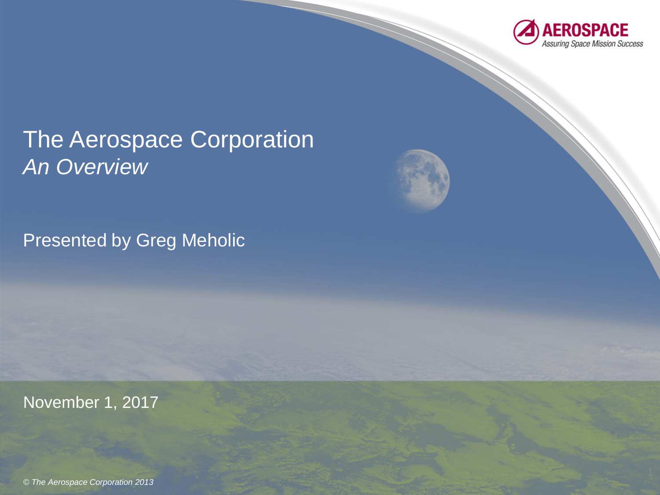

### The Aerospace Corporation *An Overview*

Presented by Greg Meholic

November 1, 2017

*© The Aerospace Corporation 2013*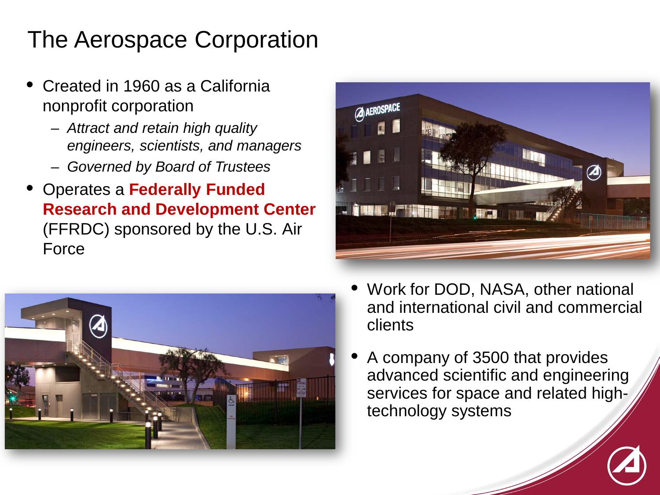# The Aerospace Corporation

- Created in 1960 as a California nonprofit corporation
	- *Attract and retain high quality engineers, scientists, and managers*
	- *Governed by Board of Trustees*
- Operates a **Federally Funded Research and Development Center**  (FFRDC) sponsored by the U.S. Air Force





- Work for DOD, NASA, other national and international civil and commercial clients
- A company of 3500 that provides advanced scientific and engineering services for space and related hightechnology systems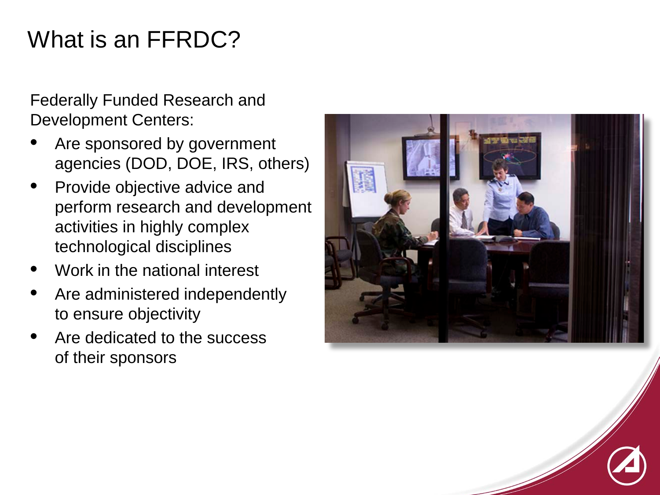# What is an FFRDC?

Federally Funded Research and Development Centers:

- Are sponsored by government agencies (DOD, DOE, IRS, others)
- Provide objective advice and perform research and development activities in highly complex technological disciplines
- Work in the national interest
- Are administered independently to ensure objectivity
- Are dedicated to the success of their sponsors

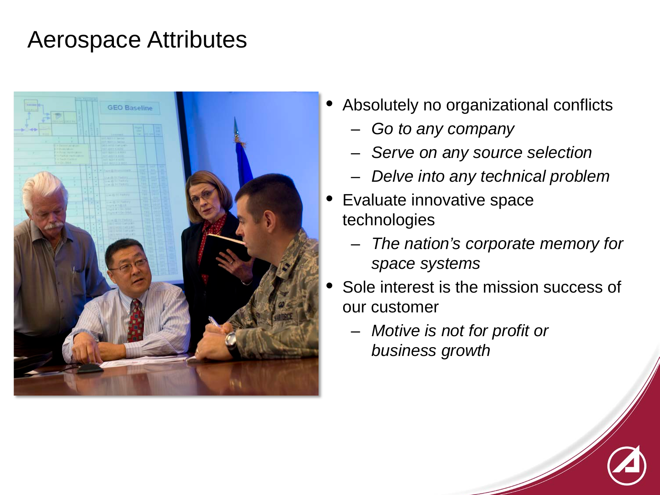#### Aerospace Attributes



- Absolutely no organizational conflicts
	- *Go to any company*
	- *Serve on any source selection*
	- *Delve into any technical problem*
- Evaluate innovative space technologies
	- *The nation's corporate memory for space systems*
- Sole interest is the mission success of our customer
	- *Motive is not for profit or business growth*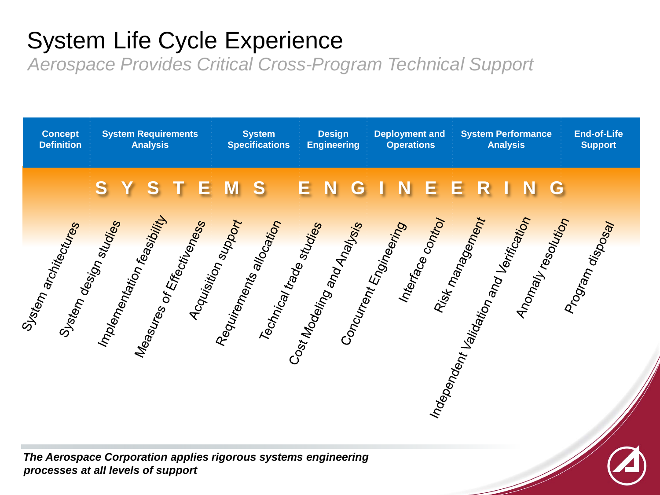# System Life Cycle Experience

*Aerospace Provides Critical Cross-Program Technical Support*

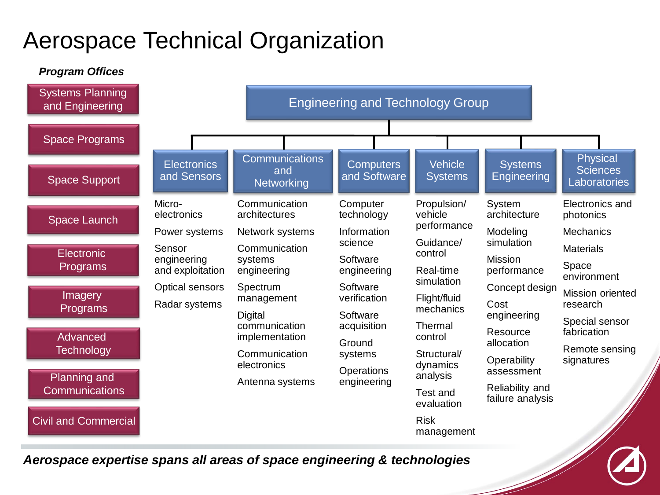# Aerospace Technical Organization

*Program Offices*



*Aerospace expertise spans all areas of space engineering & technologies*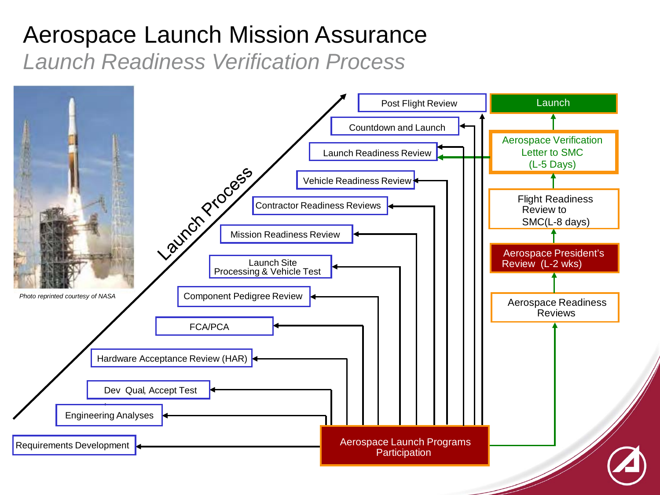### Aerospace Launch Mission Assurance *Launch Readiness Verification Process*

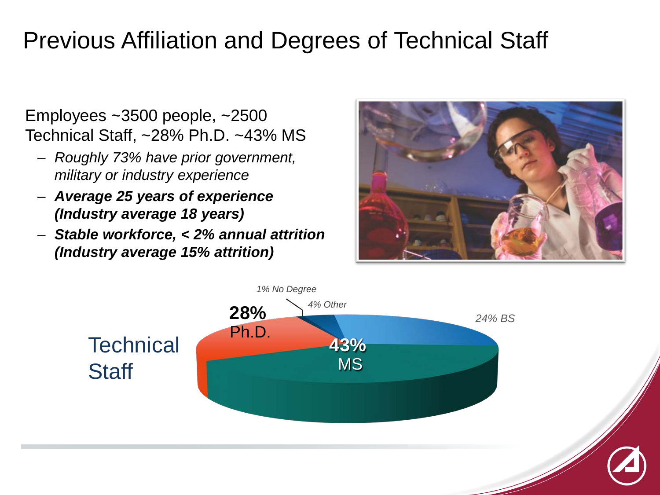### Previous Affiliation and Degrees of Technical Staff

Employees ~3500 people, ~2500 Technical Staff, ~28% Ph.D. ~43% MS

- *Roughly 73% have prior government, military or industry experience*
- *Average 25 years of experience (Industry average 18 years)*
- *Stable workforce, < 2% annual attrition (Industry average 15% attrition)*



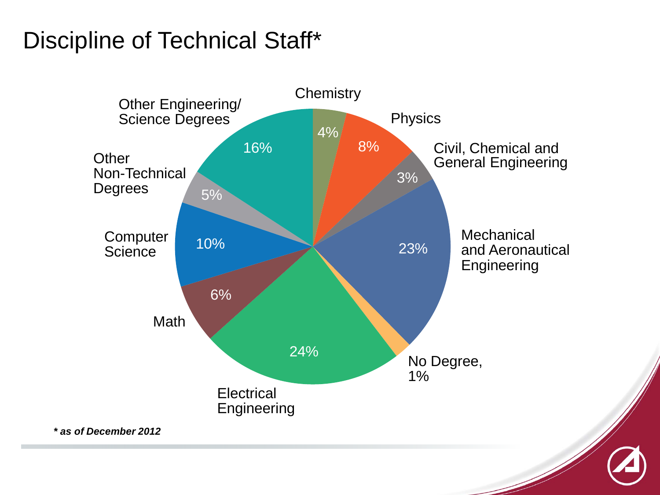## Discipline of Technical Staff\*